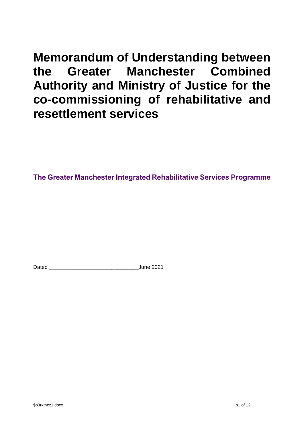# **Memorandum of Understanding between the Greater Manchester Combined Authority and Ministry of Justice for the co-commissioning of rehabilitative and resettlement services**

**The Greater Manchester Integrated Rehabilitative Services Programme**

Dated **Dated Dated Date Date of Line 2021**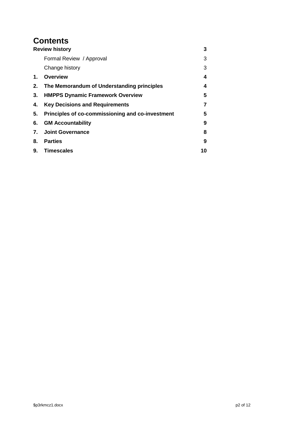# **Contents**

|    | <b>Review history</b>                            | 3  |
|----|--------------------------------------------------|----|
|    | Formal Review / Approval                         | 3  |
|    | Change history                                   | 3  |
| 1. | Overview                                         | 4  |
| 2. | The Memorandum of Understanding principles       | 4  |
| 3. | <b>HMPPS Dynamic Framework Overview</b>          | 5  |
| 4. | <b>Key Decisions and Requirements</b>            |    |
| 5. | Principles of co-commissioning and co-investment | 5  |
| 6. | <b>GM Accountability</b>                         | 9  |
| 7. | <b>Joint Governance</b>                          | 8  |
| 8. | <b>Parties</b>                                   | 9  |
| 9. | <b>Timescales</b>                                | 10 |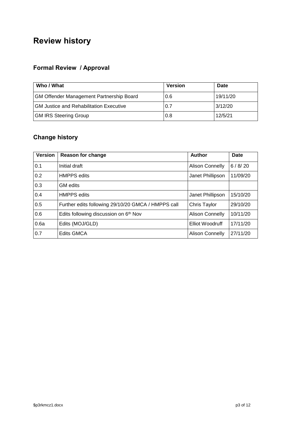# <span id="page-2-0"></span>**Review history**

# <span id="page-2-1"></span>**Formal Review / Approval**

| Who / What                                      | <b>Version</b> | Date     |
|-------------------------------------------------|----------------|----------|
| <b>GM Offender Management Partnership Board</b> | 0.6            | 19/11/20 |
| <b>GM Justice and Rehabilitation Executive</b>  | 0.7            | 3/12/20  |
| <b>GM IRS Steering Group</b>                    | 0.8            | 12/5/21  |

# <span id="page-2-2"></span>**Change history**

| <b>Version</b> | Reason for change                                  | Author                 | Date     |
|----------------|----------------------------------------------------|------------------------|----------|
| 0.1            | Initial draft                                      | <b>Alison Connelly</b> | 6/8/20   |
| 0.2            | <b>HMPPS</b> edits                                 | Janet Phillipson       | 11/09/20 |
| 0.3            | <b>GM</b> edits                                    |                        |          |
| 0.4            | <b>HMPPS</b> edits                                 | Janet Phillipson       | 15/10/20 |
| 0.5            | Further edits following 29/10/20 GMCA / HMPPS call | Chris Taylor           | 29/10/20 |
| 0.6            | Edits following discussion on 6th Nov              | <b>Alison Connelly</b> | 10/11/20 |
| 0.6a           | Edits (MOJ/GLD)                                    | Elliot Woodruff        | 17/11/20 |
| 0.7            | <b>Edits GMCA</b>                                  | <b>Alison Connelly</b> | 27/11/20 |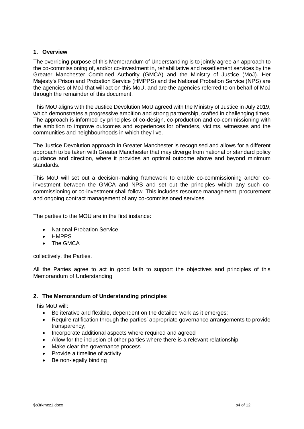# <span id="page-3-0"></span>**1. Overview**

The overriding purpose of this Memorandum of Understanding is to jointly agree an approach to the co-commissioning of, and/or co-investment in, rehabilitative and resettlement services by the Greater Manchester Combined Authority (GMCA) and the Ministry of Justice (MoJ). Her Majesty's Prison and Probation Service (HMPPS) and the National Probation Service (NPS) are the agencies of MoJ that will act on this MoU, and are the agencies referred to on behalf of MoJ through the remainder of this document.

This MoU aligns with the Justice Devolution MoU agreed with the Ministry of Justice in July 2019, which demonstrates a progressive ambition and strong partnership, crafted in challenging times. The approach is informed by principles of co-design, co-production and co-commissioning with the ambition to improve outcomes and experiences for offenders, victims, witnesses and the communities and neighbourhoods in which they live.

The Justice Devolution approach in Greater Manchester is recognised and allows for a different approach to be taken with Greater Manchester that may diverge from national or standard policy guidance and direction, where it provides an optimal outcome above and beyond minimum standards.

This MoU will set out a decision-making framework to enable co-commissioning and/or coinvestment between the GMCA and NPS and set out the principles which any such cocommissioning or co-investment shall follow. This includes resource management, procurement and ongoing contract management of any co-commissioned services.

The parties to the MOU are in the first instance:

- National Probation Service
- HMPPS
- The GMCA

collectively, the Parties.

All the Parties agree to act in good faith to support the objectives and principles of this Memorandum of Understanding

# <span id="page-3-1"></span>**2. The Memorandum of Understanding principles**

This MoU will:

- Be iterative and flexible, dependent on the detailed work as it emerges;
- Require ratification through the parties' appropriate governance arrangements to provide transparency;
- Incorporate additional aspects where required and agreed
- Allow for the inclusion of other parties where there is a relevant relationship
- Make clear the governance process
- Provide a timeline of activity
- Be non-legally binding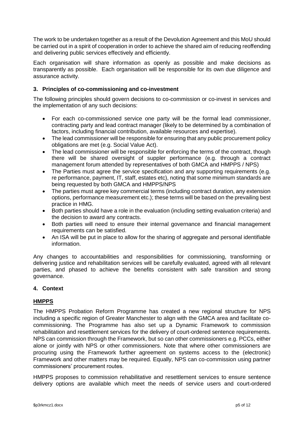The work to be undertaken together as a result of the Devolution Agreement and this MoU should be carried out in a spirit of cooperation in order to achieve the shared aim of reducing reoffending and delivering public services effectively and efficiently.

Each organisation will share information as openly as possible and make decisions as transparently as possible. Each organisation will be responsible for its own due diligence and assurance activity.

# <span id="page-4-1"></span>**3. Principles of co-commissioning and co-investment**

The following principles should govern decisions to co-commission or co-invest in services and the implementation of any such decisions:

- For each co-commissioned service one party will be the formal lead commissioner, contracting party and lead contract manager (likely to be determined by a combination of factors, including financial contribution, available resources and expertise).
- The lead commissioner will be responsible for ensuring that any public procurement policy obligations are met (e.g. Social Value Act).
- The lead commissioner will be responsible for enforcing the terms of the contract, though there will be shared oversight of suppler performance (e.g. through a contract management forum attended by representatives of both GMCA and HMPPS / NPS)
- The Parties must agree the service specification and any supporting requirements (e.g. re performance, payment, IT, staff, estates etc), noting that some minimum standards are being requested by both GMCA and HMPPS/NPS
- The parties must agree key commercial terms (including contract duration, any extension options, performance measurement etc.); these terms will be based on the prevailing best practice in HMG.
- Both parties should have a role in the evaluation (including setting evaluation criteria) and the decision to award any contracts.
- Both parties will need to ensure their internal governance and financial management requirements can be satisfied.
- An ISA will be put in place to allow for the sharing of aggregate and personal identifiable information.

Any changes to accountabilities and responsibilities for commissioning, transforming or delivering justice and rehabilitation services will be carefully evaluated, agreed with all relevant parties, and phased to achieve the benefits consistent with safe transition and strong governance.

# <span id="page-4-0"></span>**4. Context**

# **HMPPS**

The HMPPS Probation Reform Programme has created a new regional structure for NPS including a specific region of Greater Manchester to align with the GMCA area and facilitate cocommissioning. The Programme has also set up a Dynamic Framework to commission rehabilitation and resettlement services for the delivery of court-ordered sentence requirements. NPS can commission through the Framework, but so can other commissioners e.g. PCCs, either alone or jointly with NPS or other commissioners. Note that where other commissioners are procuring using the Framework further agreement on systems access to the (electronic) Framework and other matters may be required. Equally, NPS can co-commission using partner commissioners' procurement routes.

HMPPS proposes to commission rehabilitative and resettlement services to ensure sentence delivery options are available which meet the needs of service users and court-ordered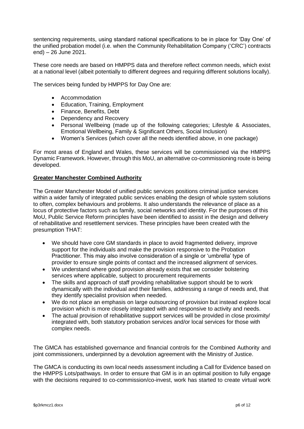sentencing requirements, using standard national specifications to be in place for 'Day One' of the unified probation model (i.e. when the Community Rehabilitation Company ('CRC') contracts end) – 26 June 2021.

These core needs are based on HMPPS data and therefore reflect common needs, which exist at a national level (albeit potentially to different degrees and requiring different solutions locally).

The services being funded by HMPPS for Day One are:

- Accommodation
- Education, Training, Employment
- Finance, Benefits, Debt
- Dependency and Recovery
- Personal Wellbeing (made up of the following categories; Lifestyle & Associates, Emotional Wellbeing, Family & Significant Others, Social Inclusion)
- Women's Services (which cover all the needs identified above, in one package)

For most areas of England and Wales, these services will be commissioned via the HMPPS Dynamic Framework. However, through this MoU, an alternative co-commissioning route is being developed.

# **Greater Manchester Combined Authority**

The Greater Manchester Model of unified public services positions criminal justice services within a wider family of integrated public services enabling the design of whole system solutions to often, complex behaviours and problems. It also understands the relevance of place as a locus of protective factors such as family, social networks and identity. For the purposes of this MoU, Public Service Reform principles have been identified to assist in the design and delivery of rehabilitative and resettlement services. These principles have been created with the presumption THAT:

- We should have core GM standards in place to avoid fragmented delivery, improve support for the individuals and make the provision responsive to the Probation Practitioner. This may also involve consideration of a single or 'umbrella' type of provider to ensure single points of contact and the increased alignment of services.
- We understand where good provision already exists that we consider bolstering services where applicable, subject to procurement requirements
- The skills and approach of staff providing rehabilitative support should be to work dynamically with the individual and their families, addressing a range of needs and, that they identify specialist provision when needed.
- We do not place an emphasis on large outsourcing of provision but instead explore local provision which is more closely integrated with and responsive to activity and needs.
- The actual provision of rehabilitative support services will be provided in close proximity/ integrated with, both statutory probation services and/or local services for those with complex needs.

The GMCA has established governance and financial controls for the Combined Authority and joint commissioners, underpinned by a devolution agreement with the Ministry of Justice.

The GMCA is conducting its own local needs assessment including a Call for Evidence based on the HMPPS Lots/pathways. In order to ensure that GM is in an optimal position to fully engage with the decisions required to co-commission/co-invest, work has started to create virtual work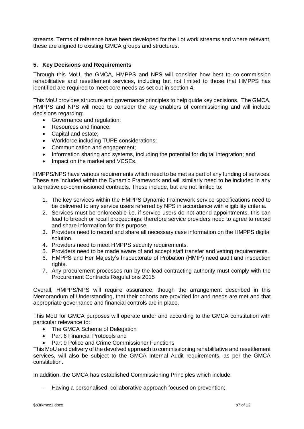streams. Terms of reference have been developed for the Lot work streams and where relevant, these are aligned to existing GMCA groups and structures.

# <span id="page-6-0"></span>**5. Key Decisions and Requirements**

Through this MoU, the GMCA, HMPPS and NPS will consider how best to co-commission rehabilitative and resettlement services, including but not limited to those that HMPPS has identified are required to meet core needs as set out in section 4.

This MoU provides structure and governance principles to help guide key decisions. The GMCA, HMPPS and NPS will need to consider the key enablers of commissioning and will include decisions regarding:

- Governance and regulation;
- Resources and finance:
- Capital and estate:
- Workforce including TUPE considerations;
- Communication and engagement;
- Information sharing and systems, including the potential for digital integration; and
- Impact on the market and VCSEs.

HMPPS/NPS have various requirements which need to be met as part of any funding of services. These are included within the Dynamic Framework and will similarly need to be included in any alternative co-commissioned contracts. These include, but are not limited to:

- 1. The key services within the HMPPS Dynamic Framework service specifications need to be delivered to any service users referred by NPS in accordance with eligibility criteria.
- 2. Services must be enforceable i.e. if service users do not attend appointments, this can lead to breach or recall proceedings; therefore service providers need to agree to record and share information for this purpose.
- 3. Providers need to record and share all necessary case information on the HMPPS digital solution.
- 4. Providers need to meet HMPPS security requirements.
- 5. Providers need to be made aware of and accept staff transfer and vetting requirements.
- 6. HMPPS and Her Majesty's Inspectorate of Probation (HMIP) need audit and inspection rights.
- 7. Any procurement processes run by the lead contracting authority must comply with the Procurement Contracts Regulations 2015

Overall, HMPPS/NPS will require assurance, though the arrangement described in this Memorandum of Understanding, that their cohorts are provided for and needs are met and that appropriate governance and financial controls are in place.

This MoU for GMCA purposes will operate under and according to the GMCA constitution with particular relevance to:

- The GMCA Scheme of Delegation
- Part 6 Financial Protocols and
- Part 9 Police and Crime Commissioner Functions

This MoU and delivery of the devolved approach to commissioning rehabilitative and resettlement services, will also be subject to the GMCA Internal Audit requirements, as per the GMCA constitution.

In addition, the GMCA has established Commissioning Principles which include:

Having a personalised, collaborative approach focused on prevention;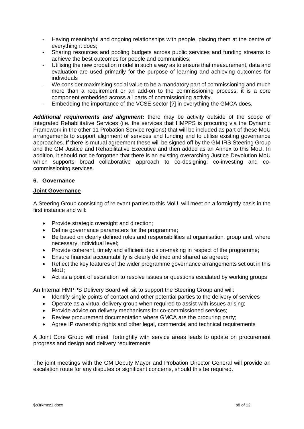- Having meaningful and ongoing relationships with people, placing them at the centre of everything it does;
- Sharing resources and pooling budgets across public services and funding streams to achieve the best outcomes for people and communities;
- Utilising the new probation model in such a way as to ensure that measurement, data and evaluation are used primarily for the purpose of learning and achieving outcomes for individuals
- We consider maximising social value to be a mandatory part of commissioning and much more than a requirement or an add-on to the commissioning process; it is a core component embedded across all parts of commissioning activity.
- Embedding the importance of the VCSE sector [?] in everything the GMCA does.

*Additional requirements and alignment:* there may be activity outside of the scope of Integrated Rehabilitative Services (i.e. the services that HMPPS is procuring via the Dynamic Framework in the other 11 Probation Service regions) that will be included as part of these MoU arrangements to support alignment of services and funding and to utilise existing governance approaches. If there is mutual agreement these will be signed off by the GM IRS Steering Group and the GM Justice and Rehabilitative Executive and then added as an Annex to this MoU. In addition, it should not be forgotten that there is an existing overarching Justice Devolution MoU which supports broad collaborative approach to co-designing; co-investing and cocommissioning services.

### <span id="page-7-0"></span>**6. Governance**

### **Joint Governance**

A Steering Group consisting of relevant parties to this MoU, will meet on a fortnightly basis in the first instance and will:

- Provide strategic oversight and direction;
- Define governance parameters for the programme;
- Be based on clearly defined roles and responsibilities at organisation, group and, where necessary, individual level;
- Provide coherent, timely and efficient decision-making in respect of the programme;
- Ensure financial accountability is clearly defined and shared as agreed;
- Reflect the key features of the wider programme governance arrangements set out in this MoU;
- Act as a point of escalation to resolve issues or questions escalated by working groups

An Internal HMPPS Delivery Board will sit to support the Steering Group and will:

- Identify single points of contact and other potential parties to the delivery of services
- Operate as a virtual delivery group when required to assist with issues arising;
- Provide advice on delivery mechanisms for co-commissioned services;
- Review procurement documentation where GMCA are the procuring party;
- Agree IP ownership rights and other legal, commercial and technical requirements

A Joint Core Group will meet fortnightly with service areas leads to update on procurement progress and design and delivery requirements

The joint meetings with the GM Deputy Mayor and Probation Director General will provide an escalation route for any disputes or significant concerns, should this be required.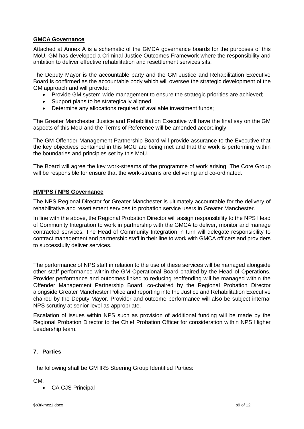# <span id="page-8-0"></span>**GMCA Governance**

Attached at Annex A is a schematic of the GMCA governance boards for the purposes of this MoU. GM has developed a Criminal Justice Outcomes Framework where the responsibility and ambition to deliver effective rehabilitation and resettlement services sits.

The Deputy Mayor is the accountable party and the GM Justice and Rehabilitation Executive Board is confirmed as the accountable body which will oversee the strategic development of the GM approach and will provide:

- Provide GM system-wide management to ensure the strategic priorities are achieved;
- Support plans to be strategically aligned
- Determine any allocations required of available investment funds;

The Greater Manchester Justice and Rehabilitation Executive will have the final say on the GM aspects of this MoU and the Terms of Reference will be amended accordingly.

The GM Offender Management Partnership Board will provide assurance to the Executive that the key objectives contained in this MOU are being met and that the work is performing within the boundaries and principles set by this MoU.

The Board will agree the key work-streams of the programme of work arising. The Core Group will be responsible for ensure that the work-streams are delivering and co-ordinated.

### <span id="page-8-1"></span>**HMPPS / NPS Governance**

The NPS Regional Director for Greater Manchester is ultimately accountable for the delivery of rehabilitative and resettlement services to probation service users in Greater Manchester.

In line with the above, the Regional Probation Director will assign responsibility to the NPS Head of Community Integration to work in partnership with the GMCA to deliver, monitor and manage contracted services. The Head of Community Integration in turn will delegate responsibility to contract management and partnership staff in their line to work with GMCA officers and providers to successfully deliver services.

The performance of NPS staff in relation to the use of these services will be managed alongside other staff performance within the GM Operational Board chaired by the Head of Operations. Provider performance and outcomes linked to reducing reoffending will be managed within the Offender Management Partnership Board, co-chaired by the Regional Probation Director alongside Greater Manchester Police and reporting into the Justice and Rehabilitation Executive chaired by the Deputy Mayor. Provider and outcome performance will also be subject internal NPS scrutiny at senior level as appropriate.

Escalation of issues within NPS such as provision of additional funding will be made by the Regional Probation Director to the Chief Probation Officer for consideration within NPS Higher Leadership team.

# **7. Parties**

The following shall be GM IRS Steering Group Identified Parties:

GM:

CA CJS Principal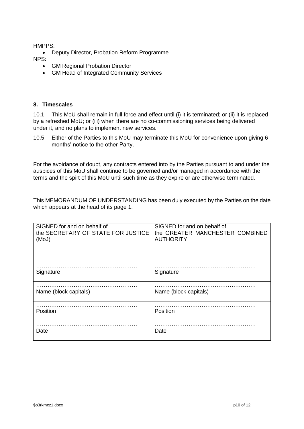HMPPS:

- Deputy Director, Probation Reform Programme
- NPS:
	- GM Regional Probation Director
	- GM Head of Integrated Community Services

### <span id="page-9-0"></span>**8. Timescales**

10.1 This MoU shall remain in full force and effect until (i) it is terminated; or (ii) it is replaced by a refreshed MoU; or (iii) when there are no co-commissioning services being delivered under it, and no plans to implement new services.

10.5 Either of the Parties to this MoU may terminate this MoU for convenience upon giving 6 months' notice to the other Party.

For the avoidance of doubt, any contracts entered into by the Parties pursuant to and under the auspices of this MoU shall continue to be governed and/or managed in accordance with the terms and the spirt of this MoU until such time as they expire or are otherwise terminated.

This MEMORANDUM OF UNDERSTANDING has been duly executed by the Parties on the date which appears at the head of its page 1.

| SIGNED for and on behalf of<br>the SECRETARY OF STATE FOR JUSTICE<br>(MoJ) | SIGNED for and on behalf of<br>the GREATER MANCHESTER COMBINED<br><b>AUTHORITY</b> |
|----------------------------------------------------------------------------|------------------------------------------------------------------------------------|
| Signature                                                                  | Signature                                                                          |
| Name (block capitals)                                                      | Name (block capitals)                                                              |
| Position                                                                   | Position                                                                           |
| Date                                                                       | Date                                                                               |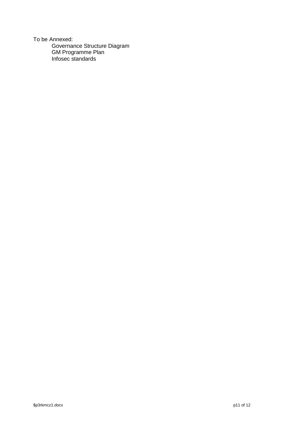To be Annexed: Governance Structure Diagram<br>GM Programme Plan<br>Infosec standards